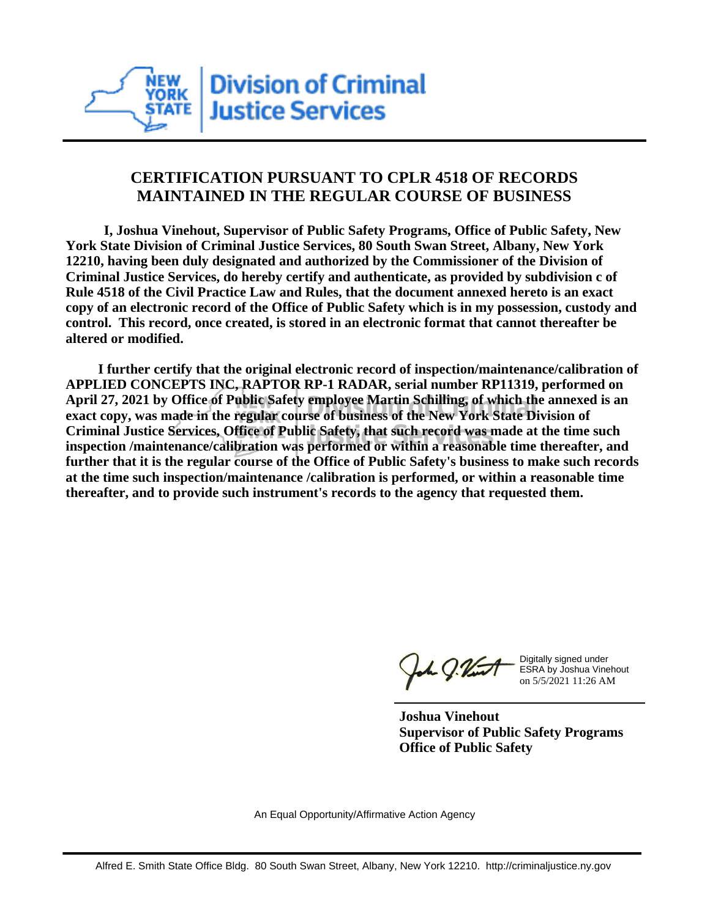

## **CERTIFICATION PURSUANT TO CPLR 4518 OF RECORDS MAINTAINED IN THE REGULAR COURSE OF BUSINESS**

 **I, Joshua Vinehout, Supervisor of Public Safety Programs, Office of Public Safety, New York State Division of Criminal Justice Services, 80 South Swan Street, Albany, New York 12210, having been duly designated and authorized by the Commissioner of the Division of Criminal Justice Services, do hereby certify and authenticate, as provided by subdivision c of Rule 4518 of the Civil Practice Law and Rules, that the document annexed hereto is an exact copy of an electronic record of the Office of Public Safety which is in my possession, custody and control. This record, once created, is stored in an electronic format that cannot thereafter be altered or modified.**

 **I further certify that the original electronic record of inspection/maintenance/calibration of APPLIED CONCEPTS INC, RAPTOR RP-1 RADAR, serial number RP11319, performed on April 27, 2021 by Office of Public Safety employee Martin Schilling, of which the annexed is an exact copy, was made in the regular course of business of the New York State Division of Criminal Justice Services, Office of Public Safety, that such record was made at the time such inspection /maintenance/calibration was performed or within a reasonable time thereafter, and further that it is the regular course of the Office of Public Safety's business to make such records at the time such inspection/maintenance /calibration is performed, or within a reasonable time thereafter, and to provide such instrument's records to the agency that requested them.**

the g. Vint

Digitally signed under ESRA by Joshua Vinehout on 5/5/2021 11:26 AM

**Joshua Vinehout Supervisor of Public Safety Programs Office of Public Safety**

An Equal Opportunity/Affirmative Action Agency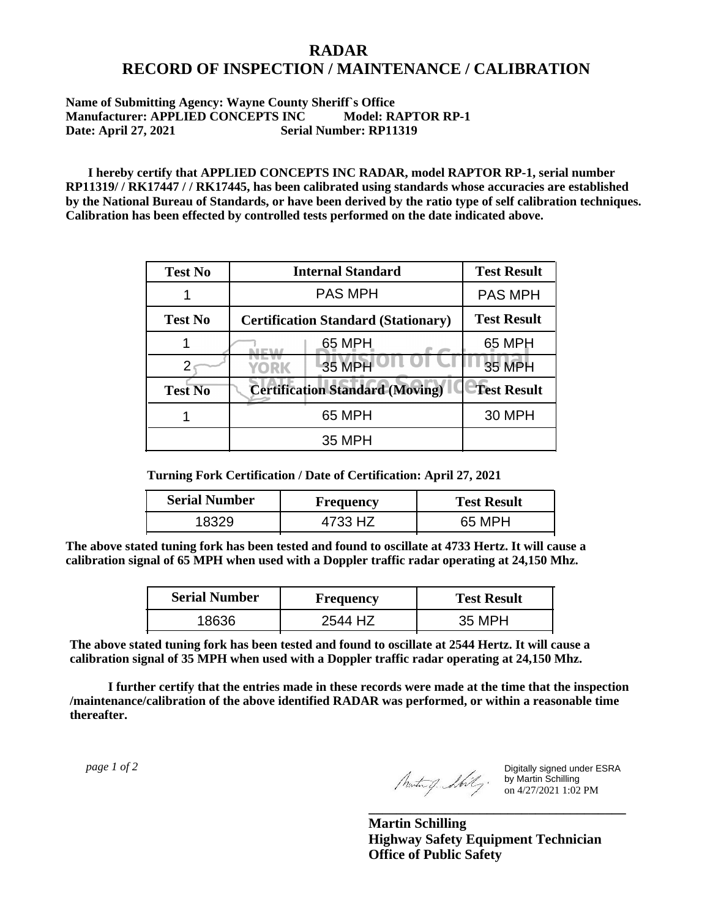## **RADAR RECORD OF INSPECTION / MAINTENANCE / CALIBRATION**

## **Name of Submitting Agency: Wayne County Sheriff`s Office Manufacturer: APPLIED CONCEPTS INC Model: RAPTOR RP-1 Date: April 27, 2021 Serial Number: RP11319**

 **I hereby certify that APPLIED CONCEPTS INC RADAR, model RAPTOR RP-1, serial number RP11319/ / RK17447 / / RK17445, has been calibrated using standards whose accuracies are established by the National Bureau of Standards, or have been derived by the ratio type of self calibration techniques. Calibration has been effected by controlled tests performed on the date indicated above.**

| <b>Test No</b> | <b>Internal Standard</b>                   | <b>Test Result</b> |
|----------------|--------------------------------------------|--------------------|
|                | <b>PAS MPH</b>                             | <b>PAS MPH</b>     |
| <b>Test No</b> | <b>Certification Standard (Stationary)</b> | <b>Test Result</b> |
|                | 65 MPH                                     | 65 MPH             |
|                | 35 MPH<br>YORK                             | 35 MPH             |
| <b>Test No</b> | <b>Certification Standard (Moving)</b>     | <b>Test Result</b> |
|                | 65 MPH                                     | <b>30 MPH</b>      |
|                | 35 MPH                                     |                    |

**Turning Fork Certification / Date of Certification: April 27, 2021**

| <b>Serial Number</b> | Frequency | <b>Test Result</b> |
|----------------------|-----------|--------------------|
|                      | 4733 HZ   | 65 MPH             |

**The above stated tuning fork has been tested and found to oscillate at 4733 Hertz. It will cause a calibration signal of 65 MPH when used with a Doppler traffic radar operating at 24,150 Mhz.**

| <b>Serial Number</b> | <b>Frequency</b> | <b>Test Result</b> |
|----------------------|------------------|--------------------|
| 18636                | 2544 H/          | 35 MPH             |

**The above stated tuning fork has been tested and found to oscillate at 2544 Hertz. It will cause a calibration signal of 35 MPH when used with a Doppler traffic radar operating at 24,150 Mhz.**

 **I further certify that the entries made in these records were made at the time that the inspection /maintenance/calibration of the above identified RADAR was performed, or within a reasonable time thereafter.**

 *page 1 of 2* 

Digitally signed under ESRA by Martin Schilling on 4/27/2021 1:02 PM

**Martin Schilling Highway Safety Equipment Technician Office of Public Safety**

**\_\_\_\_\_\_\_\_\_\_\_\_\_\_\_\_\_\_\_\_\_\_\_\_\_\_\_\_\_\_\_\_\_\_\_\_\_**